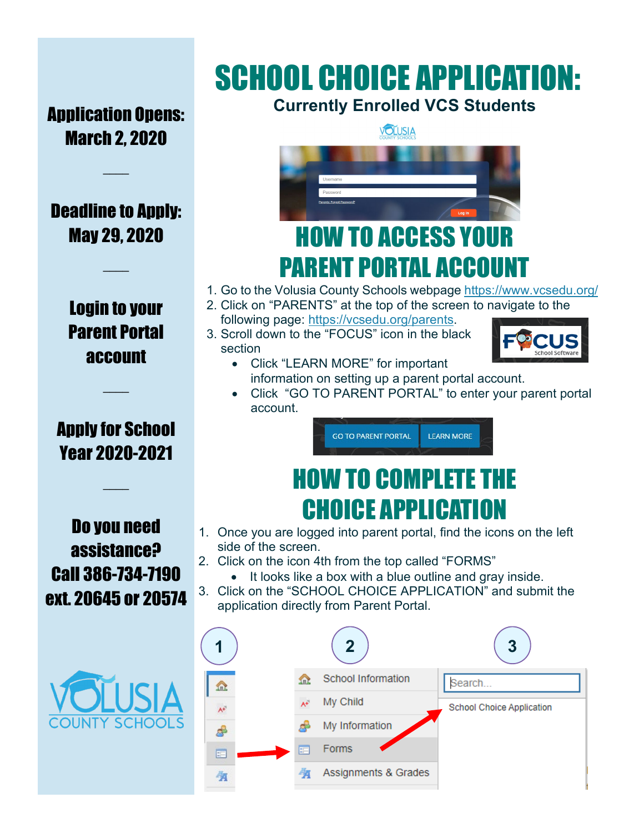## SCHOOL CHOICE APPLICATION: **Currently Enrolled VCS Students**

Application Opens: March 2, 2020

 $\mathcal{L}$ 

Deadline to Apply: May 29, 2020

 $\mathcal{L}$ 

Login to your Parent Portal account

### Apply for School Year 2020-2021

 $\overline{\phantom{a}}$ 

 $\overline{\phantom{a}}$ 

Do you need assistance? Call 386-734-7190 ext. 20645 or 20574





- 1. Go to the Volusia County Schools webpage<https://www.vcsedu.org/>
- 2. Click on "PARENTS" at the top of the screen to navigate to the following page: [https://vcsedu.org/parents.](https://vcsedu.org/parents)
- 3. Scroll down to the "FOCUS" icon in the black section



- Click "LEARN MORE" for important information on setting up a parent portal account.
- Click "GO TO PARENT PORTAL" to enter your parent portal account.

**GO TO PARENT PORTAL LEARN MORE** 

## HOW TO COMPLETE THE CHOICE APPLICATION

- 1. Once you are logged into parent portal, find the icons on the left side of the screen.
- 2. Click on the icon 4th from the top called "FORMS"
	- It looks like a box with a blue outline and gray inside.
- 3. Click on the "SCHOOL CHOICE APPLICATION" and submit the application directly from Parent Portal.